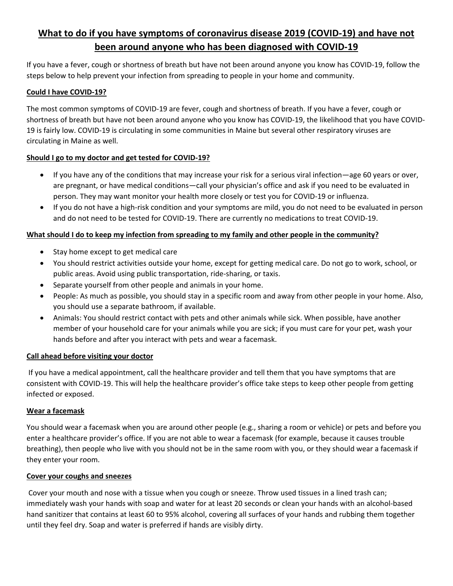# **What to do if you have symptoms of coronavirus disease 2019 (COVID‐19) and have not been around anyone who has been diagnosed with COVID‐19**

If you have a fever, cough or shortness of breath but have not been around anyone you know has COVID‐19, follow the steps below to help prevent your infection from spreading to people in your home and community.

## **Could I have COVID‐19?**

The most common symptoms of COVID‐19 are fever, cough and shortness of breath. If you have a fever, cough or shortness of breath but have not been around anyone who you know has COVID‐19, the likelihood that you have COVID‐ 19 is fairly low. COVID‐19 is circulating in some communities in Maine but several other respiratory viruses are circulating in Maine as well.

## Should I go to my doctor and get tested for COVID-19?

- If you have any of the conditions that may increase your risk for a serious viral infection—age 60 years or over, are pregnant, or have medical conditions—call your physician's office and ask if you need to be evaluated in person. They may want monitor your health more closely or test you for COVID‐19 or influenza.
- If you do not have a high-risk condition and your symptoms are mild, you do not need to be evaluated in person and do not need to be tested for COVID‐19. There are currently no medications to treat COVID‐19.

## **What should I do to keep my infection from spreading to my family and other people in the community?**

- Stay home except to get medical care
- You should restrict activities outside your home, except for getting medical care. Do not go to work, school, or public areas. Avoid using public transportation, ride‐sharing, or taxis.
- Separate yourself from other people and animals in your home.
- People: As much as possible, you should stay in a specific room and away from other people in your home. Also, you should use a separate bathroom, if available.
- Animals: You should restrict contact with pets and other animals while sick. When possible, have another member of your household care for your animals while you are sick; if you must care for your pet, wash your hands before and after you interact with pets and wear a facemask.

# **Call ahead before visiting your doctor**

 If you have a medical appointment, call the healthcare provider and tell them that you have symptoms that are consistent with COVID‐19. This will help the healthcare provider's office take steps to keep other people from getting infected or exposed.

# **Wear a facemask**

You should wear a facemask when you are around other people (e.g., sharing a room or vehicle) or pets and before you enter a healthcare provider's office. If you are not able to wear a facemask (for example, because it causes trouble breathing), then people who live with you should not be in the same room with you, or they should wear a facemask if they enter your room.

#### **Cover your coughs and sneezes**

 Cover your mouth and nose with a tissue when you cough or sneeze. Throw used tissues in a lined trash can; immediately wash your hands with soap and water for at least 20 seconds or clean your hands with an alcohol‐based hand sanitizer that contains at least 60 to 95% alcohol, covering all surfaces of your hands and rubbing them together until they feel dry. Soap and water is preferred if hands are visibly dirty.